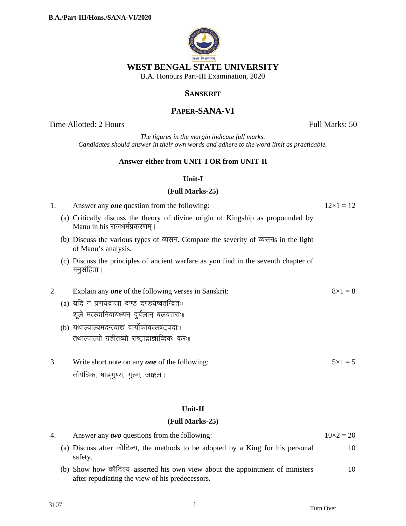

### **SANSKRIT**

# **PAPER-SANA-VI**

Time Allotted: 2 Hours Full Marks: 50

*The figures in the margin indicate full marks. Candidates should answer in their own words and adhere to the word limit as practicable.*

### **Answer either from UNIT-I OR from UNIT-II**

### **Unit-I**

### **(Full Marks-25)**

- 1. Answer any *one* question from the following:  $12 \times 1 = 12$ (a) Critically discuss the theory of divine origin of Kingship as propounded by Manu in his राजधर्मप्रकरणम् ।
	- (b) Discuss the various types of व्यसन. Compare the severity of व्यसनs in the light of Manu's analysis.
	- (c) Discuss the principles of ancient warfare as you find in the seventh chapter of मनुसंहिता ।

| Explain any <i>one</i> of the following verses in Sanskrit: | $8\times1=8$ |
|-------------------------------------------------------------|--------------|
| (a) यदि न प्रणयेद्राजा दण्डं दण्डयेष्वतन्द्रितः।            |              |
| शूले मत्स्यानिवायक्ष्यन् दुर्बलान् बलवत्तराः॥               |              |
| (b) यथाल्पाल्पमदन्त्याद्यं वार्योकोवत्सषट्पदाः।             |              |

- तथाल्पाल्पो ग्रहीतव्यो राष्ट्राद्राज्ञाव्दिकः करः।
- 3. Write short note on any *one* of the following:  $5 \times 1 = 5$ तौर्यत्रिक, षाड्गुण्य, गुल्म, जाङ्गल।

### **Unit-II**

#### **(Full Marks-25)**

|  | Answer any <i>two</i> questions from the following:                                                                              | $10 \times 2 = 20$ |
|--|----------------------------------------------------------------------------------------------------------------------------------|--------------------|
|  | (a) Discuss after कौटिल्य, the methods to be adopted by a King for his personal<br>safety.                                       | 10                 |
|  | (b) Show how कौटिल्य asserted his own view about the appointment of ministers<br>after repudiating the view of his predecessors. | 10                 |

 $\frac{1}{1}$  Turn Over